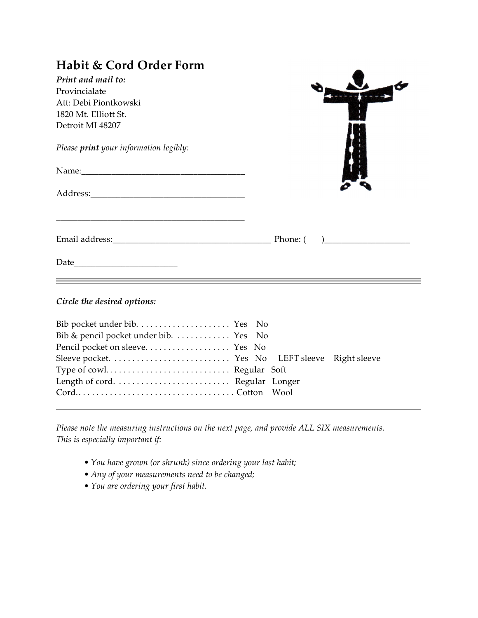| <b>Habit &amp; Cord Order Form</b>     |  |  |  |  |
|----------------------------------------|--|--|--|--|
| Print and mail to:                     |  |  |  |  |
| Provincialate                          |  |  |  |  |
| Att: Debi Piontkowski                  |  |  |  |  |
| 1820 Mt. Elliott St.                   |  |  |  |  |
| Detroit MI 48207                       |  |  |  |  |
| Please print your information legibly: |  |  |  |  |
|                                        |  |  |  |  |
|                                        |  |  |  |  |
|                                        |  |  |  |  |
|                                        |  |  |  |  |
| Circle the desired options:            |  |  |  |  |
|                                        |  |  |  |  |
| Bib & pencil pocket under bib.  Yes No |  |  |  |  |
|                                        |  |  |  |  |

| Bib & pencil pocket under bib.  Yes No |  |  |
|----------------------------------------|--|--|
|                                        |  |  |
|                                        |  |  |
|                                        |  |  |
|                                        |  |  |
|                                        |  |  |
|                                        |  |  |

*Please note the measuring instructions on the next page, and provide ALL SIX measurements. This is especially important if:*

- *You have grown (or shrunk) since ordering your last habit;*
- *Any of your measurements need to be changed;*
- *You are ordering your first habit.*